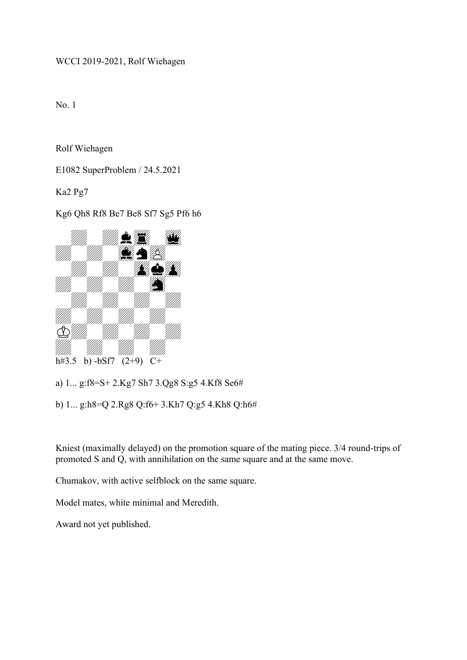WCCI 2019-2021, Rolf Wiehagen

No. 1

Rolf Wiehagen

E1082 SuperProblem / 24.5.2021

Ka2 Pg7

Kg6 Qh8 Rf8 Be7 Be8 Sf7 Sg5 Pf6 h6



a) 1... g:f8=S+ 2.Kg7 Sh7 3.Qg8 S:g5 4.Kf8 Se6#

b) 1... g:h8=Q 2.Rg8 Q:f6+ 3.Kh7 Q:g5 4.Kh8 Q:h6#

Kniest (maximally delayed) on the promotion square of the mating piece. 3/4 round-trips of promoted S and Q, with annihilation on the same square and at the same move.

Chumakov, with active selfblock on the same square.

Model mates, white minimal and Meredith.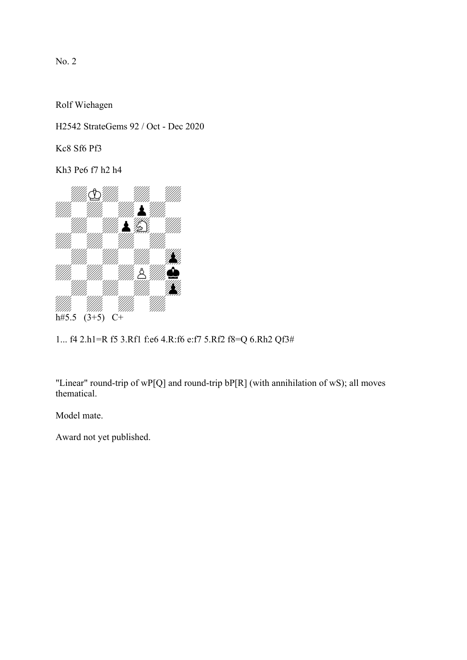Rolf Wiehagen

H2542 StrateGems 92 / Oct - Dec 2020

Kc8 Sf6 Pf3

Kh3 Pe6 f7 h2 h4



1... f4 2.h1=R f5 3.Rf1 f:e6 4.R:f6 e:f7 5.Rf2 f8=Q 6.Rh2 Qf3#

"Linear" round-trip of wP[Q] and round-trip bP[R] (with annihilation of wS); all moves thematical.

Model mate.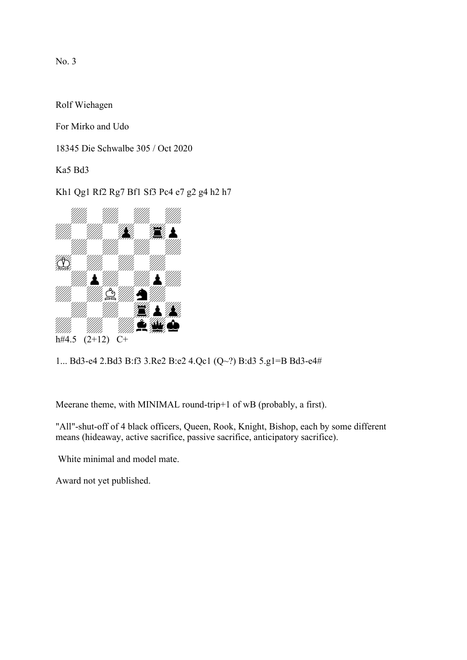Rolf Wiehagen

For Mirko and Udo

18345 Die Schwalbe 305 / Oct 2020

Ka5 Bd3

Kh1 Qg1 Rf2 Rg7 Bf1 Sf3 Pc4 e7 g2 g4 h2 h7



1... Bd3-e4 2.Bd3 B:f3 3.Re2 B:e2 4.Qc1 (Q~?) B:d3 5.g1=B Bd3-e4#

Meerane theme, with MINIMAL round-trip+1 of wB (probably, a first).

"All"-shut-off of 4 black officers, Queen, Rook, Knight, Bishop, each by some different means (hideaway, active sacrifice, passive sacrifice, anticipatory sacrifice).

White minimal and model mate.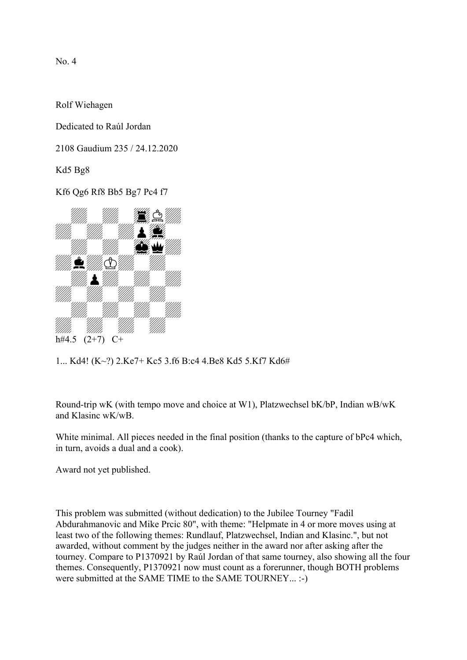Rolf Wiehagen

Dedicated to Raúl Jordan

2108 Gaudium 235 / 24.12.2020

Kd5 Bg8

Kf6 Qg6 Rf8 Bb5 Bg7 Pc4 f7



1... Kd4! (K~?) 2.Ke7+ Kc5 3.f6 B:c4 4.Be8 Kd5 5.Kf7 Kd6#

Round-trip wK (with tempo move and choice at W1), Platzwechsel bK/bP, Indian wB/wK and Klasinc wK/wB.

White minimal. All pieces needed in the final position (thanks to the capture of bPc4 which, in turn, avoids a dual and a cook).

Award not yet published.

This problem was submitted (without dedication) to the Jubilee Tourney "Fadil Abdurahmanovic and Mike Prcic 80", with theme: "Helpmate in 4 or more moves using at least two of the following themes: Rundlauf, Platzwechsel, Indian and Klasinc.", but not awarded, without comment by the judges neither in the award nor after asking after the tourney. Compare to P1370921 by Raúl Jordan of that same tourney, also showing all the four themes. Consequently, P1370921 now must count as a forerunner, though BOTH problems were submitted at the SAME TIME to the SAME TOURNEY... :-)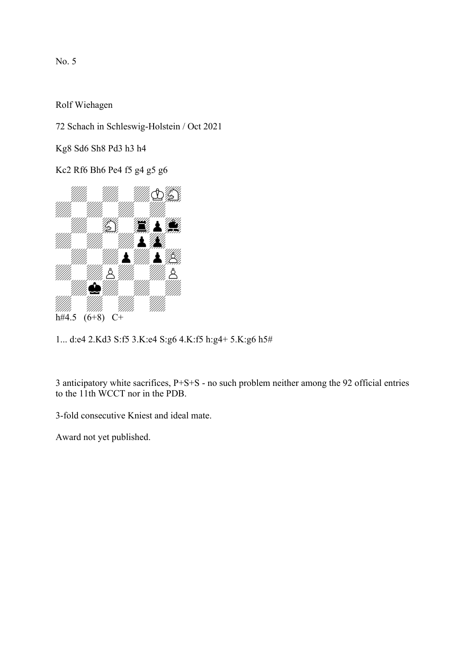Rolf Wiehagen

72 Schach in Schleswig-Holstein / Oct 2021

Kg8 Sd6 Sh8 Pd3 h3 h4

Kc2 Rf6 Bh6 Pe4 f5 g4 g5 g6



1... d:e4 2.Kd3 S:f5 3.K:e4 S:g6 4.K:f5 h:g4+ 5.K:g6 h5#

3 anticipatory white sacrifices, P+S+S - no such problem neither among the 92 official entries to the 11th WCCT nor in the PDB.

3-fold consecutive Kniest and ideal mate.